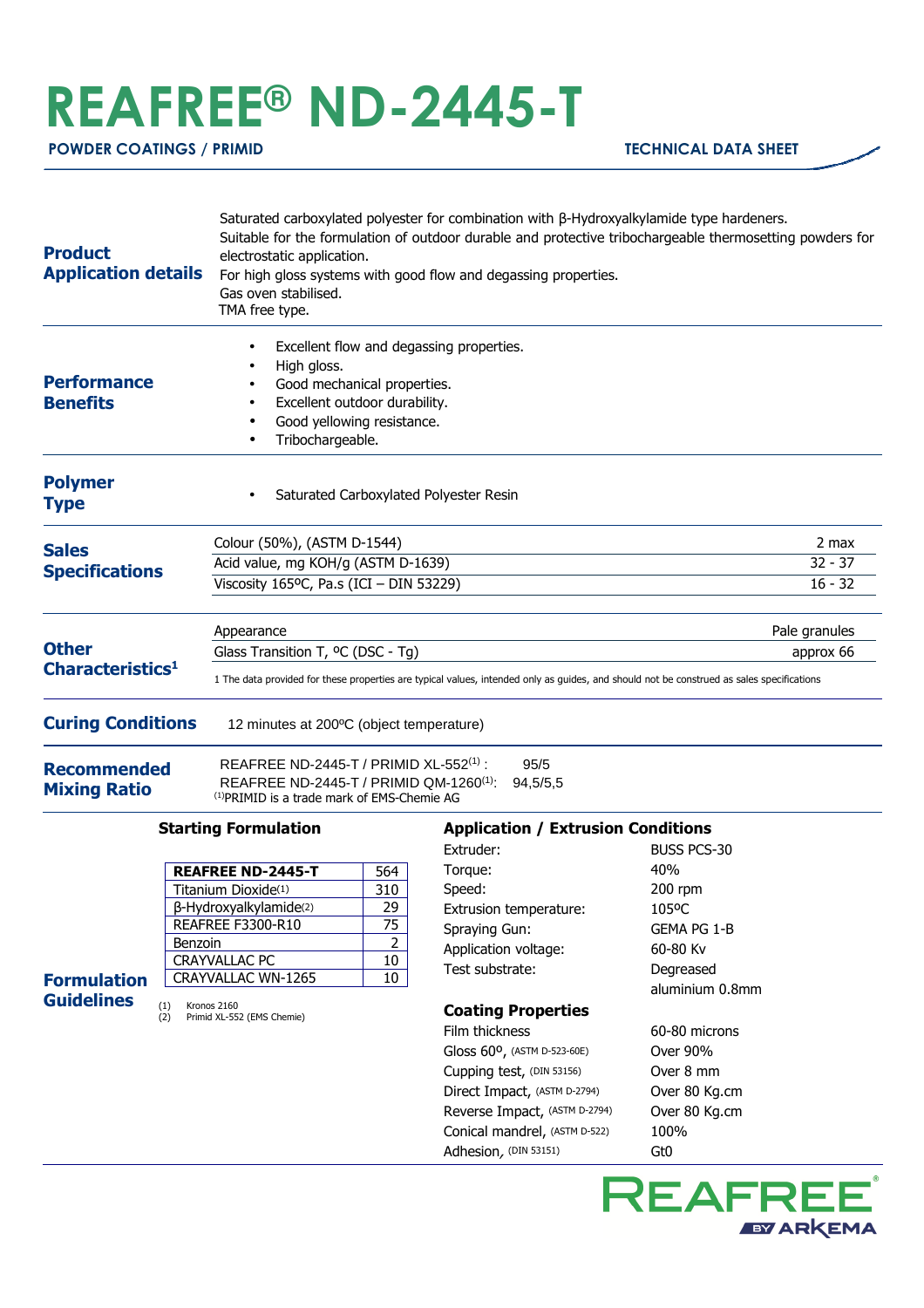## **REAFREE® ND-2445-T**

 **POWDER COATINGS / PRIMID TECHNICAL DATA SHEET** 

| <b>Product</b><br><b>Application details</b> | Saturated carboxylated polyester for combination with $\beta$ -Hydroxyalkylamide type hardeners.<br>Suitable for the formulation of outdoor durable and protective tribochargeable thermosetting powders for<br>electrostatic application.<br>For high gloss systems with good flow and degassing properties.<br>Gas oven stabilised.<br>TMA free type. |               |
|----------------------------------------------|---------------------------------------------------------------------------------------------------------------------------------------------------------------------------------------------------------------------------------------------------------------------------------------------------------------------------------------------------------|---------------|
| <b>Performance</b><br><b>Benefits</b>        | Excellent flow and degassing properties.<br>High gloss.<br>Good mechanical properties.<br>Excellent outdoor durability.<br>Good yellowing resistance.<br>Tribochargeable.                                                                                                                                                                               |               |
| <b>Polymer</b><br><b>Type</b>                | Saturated Carboxylated Polyester Resin                                                                                                                                                                                                                                                                                                                  |               |
| <b>Sales</b><br><b>Specifications</b>        | Colour (50%), (ASTM D-1544)                                                                                                                                                                                                                                                                                                                             | 2 max         |
|                                              | Acid value, mg KOH/g (ASTM D-1639)                                                                                                                                                                                                                                                                                                                      | $32 - 37$     |
|                                              | Viscosity 165ºC, Pa.s (ICI - DIN 53229)                                                                                                                                                                                                                                                                                                                 | $16 - 32$     |
| <b>Other</b><br>Characteristics <sup>1</sup> | Appearance                                                                                                                                                                                                                                                                                                                                              | Pale granules |
|                                              | Glass Transition T, <sup>o</sup> C (DSC - Tg)                                                                                                                                                                                                                                                                                                           | approx 66     |
|                                              | 1 The data provided for these properties are typical values, intended only as quides, and should not be construed as sales specifications                                                                                                                                                                                                               |               |
| <b>Curing Conditions</b>                     | 12 minutes at 200°C (object temperature)                                                                                                                                                                                                                                                                                                                |               |
| <b>Recommended</b><br><b>Mixing Ratio</b>    | REAFREE ND-2445-T / PRIMID XL-552(1) :<br>95/5<br>REAFREE ND-2445-T / PRIMID QM-1260 <sup>(1)</sup> :<br>94,5/5,5<br><sup>(1)</sup> PRIMID is a trade mark of EMS-Chemie AG                                                                                                                                                                             |               |

## **Starting Formulation**

(1) Kronos 2160 (2) Primid XL-552 (EMS Chemie)

**Formulation Guidelines**

| <b>REAFREE ND-2445-T</b> | 564 |
|--------------------------|-----|
| Titanium Dioxide(1)      | 310 |
| β-Hydroxyalkylamide(2)   | 29  |
| REAFREE F3300-R10        | 75  |
| Benzoin                  |     |
| <b>CRAYVALLAC PC</b>     | 10  |
| CRAYVALLAC WN-1265       | 10  |

## **Application / Extrusion Conditions**  Extruder: BUSS PCS-30

| Torque:                       | 40%             |
|-------------------------------|-----------------|
| Speed:                        | $200$ rpm       |
| Extrusion temperature:        | 105°C           |
| Spraying Gun:                 | GEMA PG 1-B     |
| Application voltage:          | 60-80 Kv        |
| Test substrate:               | Degreased       |
|                               | aluminium 0.8mm |
| <b>Coating Properties</b>     |                 |
| Film thickness                | 60-80 microns   |
| Gloss 60°, (ASTM D-523-60E)   | Over 90%        |
| Cupping test, (DIN 53156)     | Over 8 mm       |
| Direct Impact, (ASTM D-2794)  | Over 80 Kg.cm   |
| Reverse Impact, (ASTM D-2794) | Over 80 Kg.cm   |
| Conical mandrel, (ASTM D-522) | 100%            |
| Adhesion, (DIN 53151)         | Gt0             |
|                               |                 |